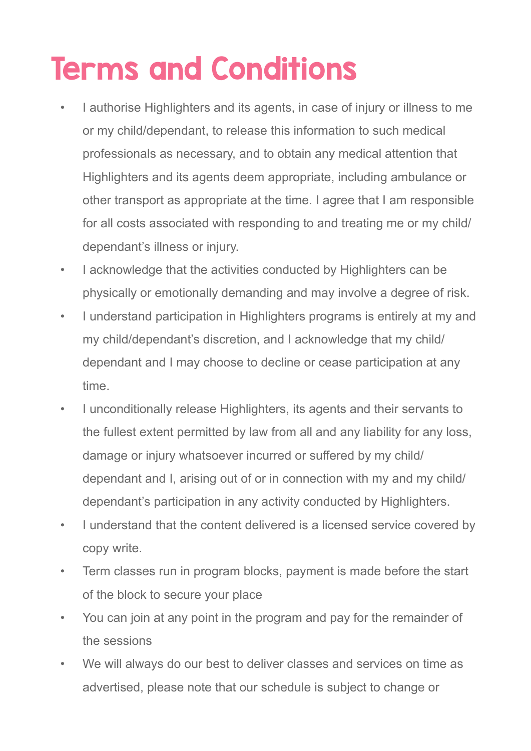## Terms and Conditions

- I authorise Highlighters and its agents, in case of injury or illness to me or my child/dependant, to release this information to such medical professionals as necessary, and to obtain any medical attention that Highlighters and its agents deem appropriate, including ambulance or other transport as appropriate at the time. I agree that I am responsible for all costs associated with responding to and treating me or my child/ dependant's illness or injury.
- I acknowledge that the activities conducted by Highlighters can be physically or emotionally demanding and may involve a degree of risk.
- I understand participation in Highlighters programs is entirely at my and my child/dependant's discretion, and I acknowledge that my child/ dependant and I may choose to decline or cease participation at any time.
- I unconditionally release Highlighters, its agents and their servants to the fullest extent permitted by law from all and any liability for any loss, damage or injury whatsoever incurred or suffered by my child/ dependant and I, arising out of or in connection with my and my child/ dependant's participation in any activity conducted by Highlighters.
- I understand that the content delivered is a licensed service covered by copy write.
- Term classes run in program blocks, payment is made before the start of the block to secure your place
- You can join at any point in the program and pay for the remainder of the sessions
- We will always do our best to deliver classes and services on time as advertised, please note that our schedule is subject to change or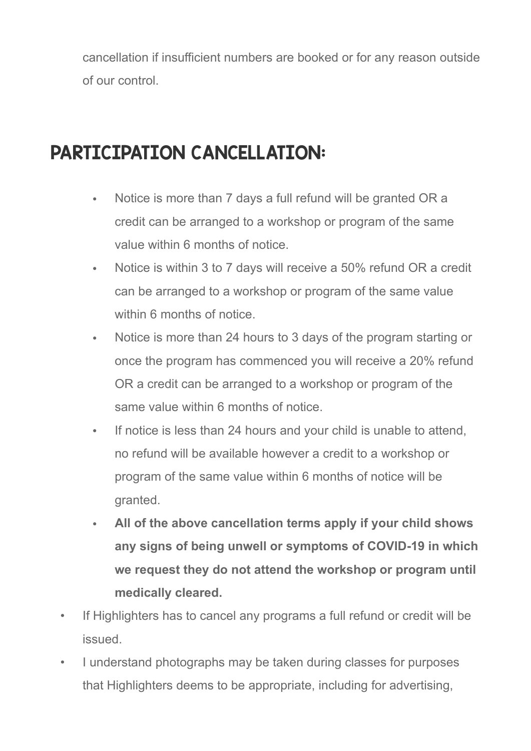cancellation if insufficient numbers are booked or for any reason outside of our control.

## PARTICIPATION CANCELLATION:

- Notice is more than 7 days a full refund will be granted OR a credit can be arranged to a workshop or program of the same value within 6 months of notice.
- Notice is within 3 to 7 days will receive a 50% refund OR a credit can be arranged to a workshop or program of the same value within 6 months of notice.
- Notice is more than 24 hours to 3 days of the program starting or once the program has commenced you will receive a 20% refund OR a credit can be arranged to a workshop or program of the same value within 6 months of notice.
- If notice is less than 24 hours and your child is unable to attend, no refund will be available however a credit to a workshop or program of the same value within 6 months of notice will be granted.
- **All of the above cancellation terms apply if your child shows any signs of being unwell or symptoms of COVID-19 in which we request they do not attend the workshop or program until medically cleared.**
- If Highlighters has to cancel any programs a full refund or credit will be issued.
- I understand photographs may be taken during classes for purposes that Highlighters deems to be appropriate, including for advertising,